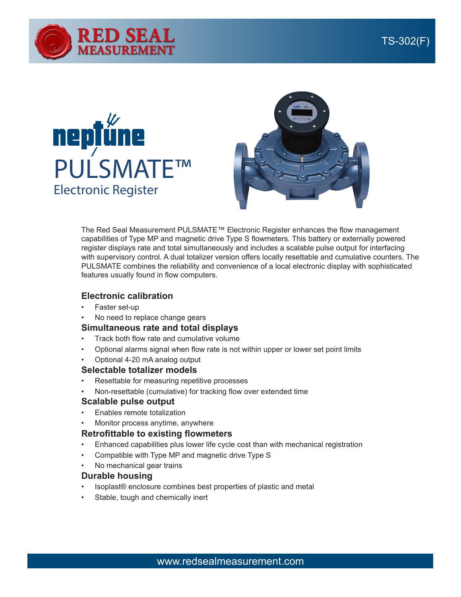





The Red Seal Measurement PULSMATE™ Electronic Register enhances the flow management capabilities of Type MP and magnetic drive Type S flowmeters. This battery or externally powered register displays rate and total simultaneously and includes a scalable pulse output for interfacing with supervisory control. A dual totalizer version offers locally resettable and cumulative counters. The PULSMATE combines the reliability and convenience of a local electronic display with sophisticated features usually found in flow computers.

### **Electronic calibration**

- Faster set-up
- No need to replace change gears

# **Simultaneous rate and total displays**

- Track both flow rate and cumulative volume
- Optional alarms signal when flow rate is not within upper or lower set point limits
- Optional 4-20 mA analog output

#### **Selectable totalizer models**

- Resettable for measuring repetitive processes
- Non-resettable (cumulative) for tracking flow over extended time

# **Scalable pulse output**

- Enables remote totalization
- Monitor process anytime, anywhere

#### **Retrofittable to existing flowmeters**

- Enhanced capabilities plus lower life cycle cost than with mechanical registration
- Compatible with Type MP and magnetic drive Type S
- No mechanical gear trains

# **Durable housing**

- Isoplast® enclosure combines best properties of plastic and metal
- Stable, tough and chemically inert